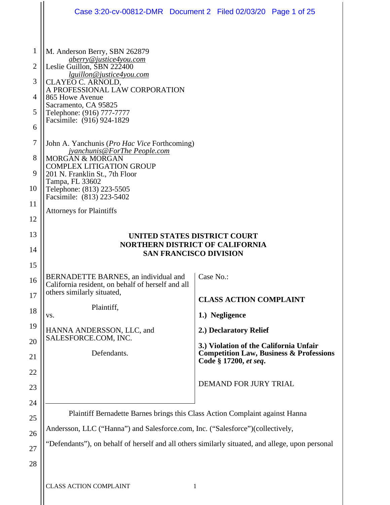|                |                                                                                                                                                              | Case 3:20-cv-00812-DMR  Document 2  Filed 02/03/20  Page 1 of 25            |  |  |  |  |  |  |
|----------------|--------------------------------------------------------------------------------------------------------------------------------------------------------------|-----------------------------------------------------------------------------|--|--|--|--|--|--|
|                |                                                                                                                                                              |                                                                             |  |  |  |  |  |  |
| 1              | M. Anderson Berry, SBN 262879<br><i>aberry@justice4you.com</i>                                                                                               |                                                                             |  |  |  |  |  |  |
| $\overline{2}$ | Leslie Guillon, SBN 222400<br><u>lguillon@justice4you.com</u>                                                                                                |                                                                             |  |  |  |  |  |  |
| 3              | CLAYEO C. ARNOLD,<br>A PROFESSIONAL LAW CORPORATION                                                                                                          |                                                                             |  |  |  |  |  |  |
| 4              | 865 Howe Avenue<br>Sacramento, CA 95825<br>Telephone: (916) 777-7777<br>Facsimile: (916) 924-1829                                                            |                                                                             |  |  |  |  |  |  |
| 5              |                                                                                                                                                              |                                                                             |  |  |  |  |  |  |
| 6              |                                                                                                                                                              |                                                                             |  |  |  |  |  |  |
| 7              | John A. Yanchunis ( <i>Pro Hac Vice</i> Forthcoming)<br><u>jyanchunis@ForThe People.com</u><br><b>MORGAN &amp; MORGAN</b><br><b>COMPLEX LITIGATION GROUP</b> |                                                                             |  |  |  |  |  |  |
| 8              |                                                                                                                                                              |                                                                             |  |  |  |  |  |  |
| 9              | 201 N. Franklin St., 7th Floor                                                                                                                               |                                                                             |  |  |  |  |  |  |
| 10             | Tampa, FL 33602<br>Telephone: (813) 223-5505                                                                                                                 |                                                                             |  |  |  |  |  |  |
| 11             | Facsimile: (813) 223-5402<br><b>Attorneys for Plaintiffs</b>                                                                                                 |                                                                             |  |  |  |  |  |  |
| 12             |                                                                                                                                                              |                                                                             |  |  |  |  |  |  |
| 13             | UNITED STATES DISTRICT COURT                                                                                                                                 |                                                                             |  |  |  |  |  |  |
| 14             | <b>NORTHERN DISTRICT OF CALIFORNIA</b><br><b>SAN FRANCISCO DIVISION</b>                                                                                      |                                                                             |  |  |  |  |  |  |
| 15             |                                                                                                                                                              |                                                                             |  |  |  |  |  |  |
| 16             | BERNADETTE BARNES, an individual and<br>California resident, on behalf of herself and all                                                                    | Case No.:                                                                   |  |  |  |  |  |  |
| 17             | others similarly situated,                                                                                                                                   | <b>CLASS ACTION COMPLAINT</b>                                               |  |  |  |  |  |  |
| 18             | Plaintiff,<br>VS.                                                                                                                                            | 1.) Negligence                                                              |  |  |  |  |  |  |
| 19             | HANNA ANDERSSON, LLC, and                                                                                                                                    | 2.) Declaratory Relief                                                      |  |  |  |  |  |  |
| 20             | SALESFORCE.COM, INC.                                                                                                                                         | 3.) Violation of the California Unfair                                      |  |  |  |  |  |  |
| 21             | Defendants.                                                                                                                                                  | <b>Competition Law, Business &amp; Professions</b><br>Code § 17200, et seq. |  |  |  |  |  |  |
| 22             |                                                                                                                                                              |                                                                             |  |  |  |  |  |  |
| 23             |                                                                                                                                                              | <b>DEMAND FOR JURY TRIAL</b>                                                |  |  |  |  |  |  |
| 24             |                                                                                                                                                              |                                                                             |  |  |  |  |  |  |
| 25             | Plaintiff Bernadette Barnes brings this Class Action Complaint against Hanna                                                                                 |                                                                             |  |  |  |  |  |  |
| 26             | Andersson, LLC ("Hanna") and Salesforce.com, Inc. ("Salesforce")(collectively,                                                                               |                                                                             |  |  |  |  |  |  |
| 27             | "Defendants"), on behalf of herself and all others similarly situated, and allege, upon personal                                                             |                                                                             |  |  |  |  |  |  |
| 28             |                                                                                                                                                              |                                                                             |  |  |  |  |  |  |
|                | <b>CLASS ACTION COMPLAINT</b>                                                                                                                                | 1                                                                           |  |  |  |  |  |  |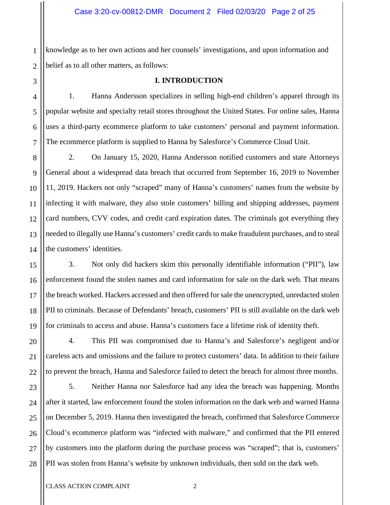1 2 knowledge as to her own actions and her counsels' investigations, and upon information and belief as to all other matters, as follows:

# **I. INTRODUCTION**

1. Hanna Andersson specializes in selling high-end children's apparel through its popular website and specialty retail stores throughout the United States. For online sales, Hanna uses a third-party ecommerce platform to take customers' personal and payment information. The ecommerce platform is supplied to Hanna by Salesforce's Commerce Cloud Unit.

2. On January 15, 2020, Hanna Andersson notified customers and state Attorneys General about a widespread data breach that occurred from September 16, 2019 to November 11, 2019. Hackers not only "scraped" many of Hanna's customers' names from the website by infecting it with malware, they also stole customers' billing and shipping addresses, payment card numbers, CVV codes, and credit card expiration dates. The criminals got everything they needed to illegally use Hanna's customers' credit cards to make fraudulent purchases, and to steal the customers' identities.

3. Not only did hackers skim this personally identifiable information ("PII"), law enforcement found the stolen names and card information for sale on the dark web. That means the breach worked. Hackers accessed and then offered for sale the unencrypted, unredacted stolen PII to criminals. Because of Defendants' breach, customers' PII is still available on the dark web for criminals to access and abuse. Hanna's customers face a lifetime risk of identity theft.

4. This PII was compromised due to Hanna's and Salesforce's negligent and/or careless acts and omissions and the failure to protect customers' data. In addition to their failure to prevent the breach, Hanna and Salesforce failed to detect the breach for almost three months.

24 25 26 28 5. Neither Hanna nor Salesforce had any idea the breach was happening. Months after it started, law enforcement found the stolen information on the dark web and warned Hanna on December 5, 2019. Hanna then investigated the breach, confirmed that Salesforce Commerce Cloud's ecommerce platform was "infected with malware," and confirmed that the PII entered by customers into the platform during the purchase process was "scraped"; that is, customers' PII was stolen from Hanna's website by unknown individuals, then sold on the dark web.

3

4

5

6

7

8

9

10

11

12

13

14

15

16

17

18

19

20

21

22

23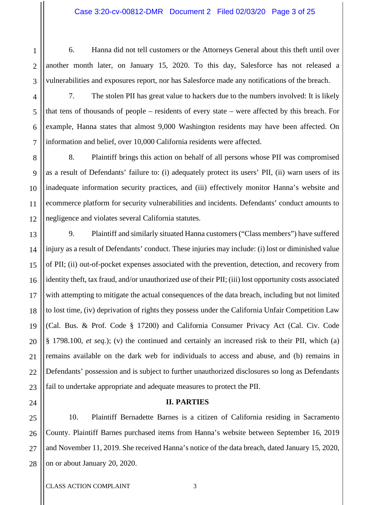6. Hanna did not tell customers or the Attorneys General about this theft until over another month later, on January 15, 2020. To this day, Salesforce has not released a vulnerabilities and exposures report, nor has Salesforce made any notifications of the breach.

7. The stolen PII has great value to hackers due to the numbers involved: It is likely that tens of thousands of people – residents of every state – were affected by this breach. For example, Hanna states that almost 9,000 Washington residents may have been affected. On information and belief, over 10,000 California residents were affected.

8. Plaintiff brings this action on behalf of all persons whose PII was compromised as a result of Defendants' failure to: (i) adequately protect its users' PII, (ii) warn users of its inadequate information security practices, and (iii) effectively monitor Hanna's website and ecommerce platform for security vulnerabilities and incidents. Defendants' conduct amounts to negligence and violates several California statutes.

9. Plaintiff and similarly situated Hanna customers ("Class members") have suffered injury as a result of Defendants' conduct. These injuries may include: (i) lost or diminished value of PII; (ii) out-of-pocket expenses associated with the prevention, detection, and recovery from identity theft, tax fraud, and/or unauthorized use of their PII; (iii) lost opportunity costs associated with attempting to mitigate the actual consequences of the data breach, including but not limited to lost time, (iv) deprivation of rights they possess under the California Unfair Competition Law (Cal. Bus. & Prof. Code § 17200) and California Consumer Privacy Act (Cal. Civ. Code § 1798.100, *et seq*.); (v) the continued and certainly an increased risk to their PII, which (a) remains available on the dark web for individuals to access and abuse, and (b) remains in Defendants' possession and is subject to further unauthorized disclosures so long as Defendants fail to undertake appropriate and adequate measures to protect the PII.

# **II. PARTIES**

10. Plaintiff Bernadette Barnes is a citizen of California residing in Sacramento County. Plaintiff Barnes purchased items from Hanna's website between September 16, 2019 and November 11, 2019. She received Hanna's notice of the data breach, dated January 15, 2020, on or about January 20, 2020.

1

2

3

4

5

6

7

8

9

10

11

12

13

14

15

16

17

18

19

20

21

22

23

24

25

26

27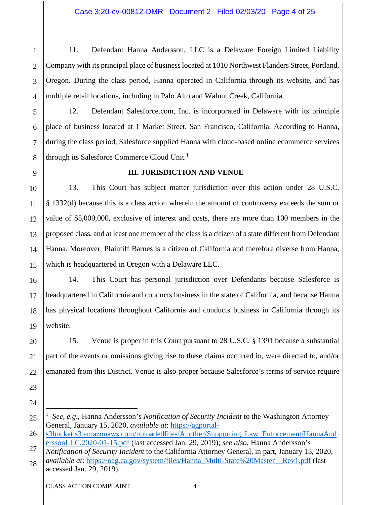11. Defendant Hanna Andersson, LLC is a Delaware Foreign Limited Liability Company with its principal place of business located at 1010 Northwest Flanders Street, Portland, Oregon. During the class period, Hanna operated in California through its website, and has multiple retail locations, including in Palo Alto and Walnut Creek, California.

12. Defendant Salesforce.com, Inc. is incorporated in Delaware with its principle place of business located at 1 Market Street, San Francisco, California. According to Hanna, during the class period, Salesforce supplied Hanna with cloud-based online ecommerce services through its Salesforce Commerce Cloud Unit.<sup>[1](#page-3-0)</sup>

# **III. JURISDICTION AND VENUE**

13. This Court has subject matter jurisdiction over this action under 28 U.S.C. § 1332(d) because this is a class action wherein the amount of controversy exceeds the sum or value of \$5,000,000, exclusive of interest and costs, there are more than 100 members in the proposed class, and at least one member of the class is a citizen of a state different from Defendant Hanna. Moreover, Plaintiff Barnes is a citizen of California and therefore diverse from Hanna, which is headquartered in Oregon with a Delaware LLC.

14. This Court has personal jurisdiction over Defendants because Salesforce is headquartered in California and conducts business in the state of California, and because Hanna has physical locations throughout California and conducts business in California through its website.

15. Venue is proper in this Court pursuant to 28 U.S.C. § 1391 because a substantial part of the events or omissions giving rise to these claims occurred in, were directed to, and/or emanated from this District. Venue is also proper because Salesforce's terms of service require

26 [s3bucket.s3.amazonaws.com/uploadedfiles/Another/Supporting\\_Law\\_Enforcement/HannaAnd](https://agportal-s3bucket.s3.amazonaws.com/uploadedfiles/Another/Supporting_Law_Enforcement/HannaAnderssonLLC.2020-01-15.pdf) [erssonLLC.2020-01-15.pdf](https://agportal-s3bucket.s3.amazonaws.com/uploadedfiles/Another/Supporting_Law_Enforcement/HannaAnderssonLLC.2020-01-15.pdf) (last accessed Jan. 29, 2019); *see also*, Hanna Andersson's

27 28 *Notification of Security Incident* to the California Attorney General, in part, January 15, 2020, *available at*: [https://oag.ca.gov/system/files/Hanna\\_Multi-State%20Master\\_\\_Rev1.pdf](https://oag.ca.gov/system/files/Hanna_Multi-State%20Master__Rev1.pdf) (last accessed Jan. 29, 2019).

1

2

3

4

5

6

7

8

9

10

11

12

13

14

15

16

17

18

19

20

21

22

23

<span id="page-3-0"></span><sup>25</sup> 1 *See, e.g*., Hanna Andersson's *Notification of Security Incident* to the Washington Attorney General, January 15, 2020, *available at*: [https://agportal-](https://agportal-s3bucket.s3.amazonaws.com/uploadedfiles/Another/Supporting_Law_Enforcement/HannaAnderssonLLC.2020-01-15.pdf)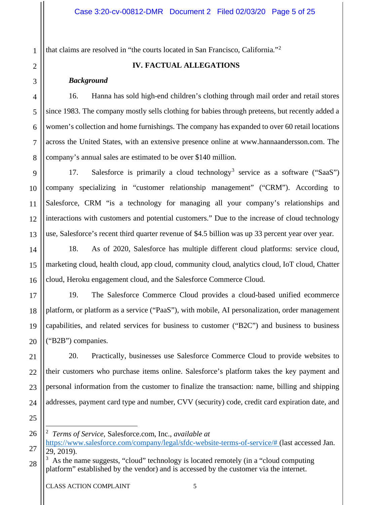that claims are resolved in "the courts located in San Francisco, California."[2](#page-4-0)

1

# **IV. FACTUAL ALLEGATIONS**

#### *Background*

16. Hanna has sold high-end children's clothing through mail order and retail stores since 1983. The company mostly sells clothing for babies through preteens, but recently added a women's collection and home furnishings. The company has expanded to over 60 retail locations across the United States, with an extensive presence online at www.hannaandersson.com. The company's annual sales are estimated to be over \$140 million.

17. Salesforce is primarily a cloud technology<sup>[3](#page-4-1)</sup> service as a software ("SaaS") company specializing in "customer relationship management" ("CRM"). According to Salesforce, CRM "is a technology for managing all your company's relationships and interactions with customers and potential customers." Due to the increase of cloud technology use, Salesforce's recent third quarter revenue of \$4.5 billion was up 33 percent year over year.

18. As of 2020, Salesforce has multiple different cloud platforms: service cloud, marketing cloud, health cloud, app cloud, community cloud, analytics cloud, IoT cloud, Chatter cloud, Heroku engagement cloud, and the Salesforce Commerce Cloud.

19. The Salesforce Commerce Cloud provides a cloud-based unified ecommerce platform, or platform as a service ("PaaS"), with mobile, AI personalization, order management capabilities, and related services for business to customer ("B2C") and business to business ("B2B") companies.

20. Practically, businesses use Salesforce Commerce Cloud to provide websites to their customers who purchase items online. Salesforce's platform takes the key payment and personal information from the customer to finalize the transaction: name, billing and shipping addresses, payment card type and number, CVV (security) code, credit card expiration date, and

<sup>2</sup> *Terms of Service*, Salesforce.com, Inc., *available at*

<span id="page-4-0"></span>[https://www.salesforce.com/company/legal/sfdc-website-terms-of-service/#](https://www.salesforce.com/company/legal/sfdc-website-terms-of-service/) (last accessed Jan. 29, 2019).

<span id="page-4-1"></span><sup>28</sup>  $3$  As the name suggests, "cloud" technology is located remotely (in a "cloud computing platform" established by the vendor) and is accessed by the customer via the internet.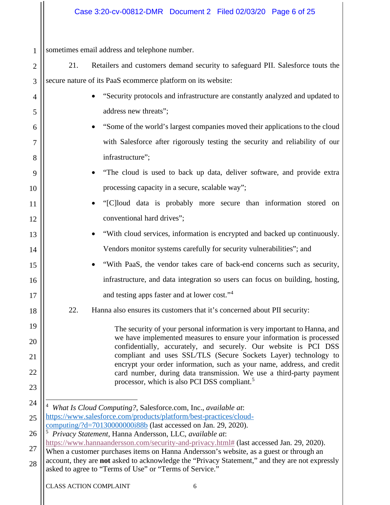# Case 3:20-cv-00812-DMR Document 2 Filed 02/03/20 Page 6 of 25

1 sometimes email address and telephone number.

4

5

6

7

8

9

10

11

12

13

14

15

16

17

18

19

20

21

22

23

- 2 3 21. Retailers and customers demand security to safeguard PII. Salesforce touts the secure nature of its PaaS ecommerce platform on its website:
	- "Security protocols and infrastructure are constantly analyzed and updated to address new threats";
	- "Some of the world's largest companies moved their applications to the cloud with Salesforce after rigorously testing the security and reliability of our infrastructure";
	- "The cloud is used to back up data, deliver software, and provide extra processing capacity in a secure, scalable way";
		- "[C]loud data is probably more secure than information stored on conventional hard drives";
			- "With cloud services, information is encrypted and backed up continuously. Vendors monitor systems carefully for security vulnerabilities"; and
			- "With PaaS, the vendor takes care of back-end concerns such as security, infrastructure, and data integration so users can focus on building, hosting, and testing apps faster and at lower cost."[4](#page-5-0)
	- 22. Hanna also ensures its customers that it's concerned about PII security:

The security of your personal information is very important to Hanna, and we have implemented measures to ensure your information is processed confidentially, accurately, and securely. Our website is PCI DSS compliant and uses SSL/TLS (Secure Sockets Layer) technology to encrypt your order information, such as your name, address, and credit card number, during data transmission. We use a third-party payment processor, which is also PCI DSS compliant.[5](#page-5-1)

- <span id="page-5-0"></span>24 25 4 *What Is Cloud Computing?*, Salesforce.com, Inc., *available at*: [https://www.salesforce.com/products/platform/best-practices/cloud](https://www.salesforce.com/products/platform/best-practices/cloud-computing/?d=70130000000i88b)[computing/?d=70130000000i88b](https://www.salesforce.com/products/platform/best-practices/cloud-computing/?d=70130000000i88b) (last accessed on Jan. 29, 2020).
- <span id="page-5-1"></span>26 27 5 *Privacy Statement*, Hanna Andersson, LLC, *available at*: [https://www.hannaandersson.com/security-and-privacy.html#](https://www.hannaandersson.com/security-and-privacy.html#FOR_USERS_BASED_IN_CALIFORNIA) (last accessed Jan. 29, 2020).
- 28 When a customer purchases items on Hanna Andersson's website, as a guest or through an account, they are **not** asked to acknowledge the "Privacy Statement," and they are not expressly asked to agree to "Terms of Use" or "Terms of Service."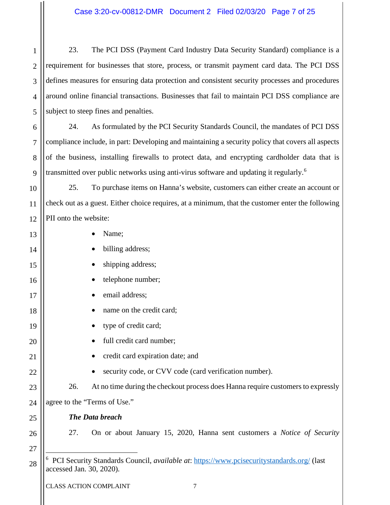<span id="page-6-0"></span>

| $\mathbf{1}$   | The PCI DSS (Payment Card Industry Data Security Standard) compliance is a<br>23.                                     |  |  |  |  |
|----------------|-----------------------------------------------------------------------------------------------------------------------|--|--|--|--|
| $\overline{2}$ | requirement for businesses that store, process, or transmit payment card data. The PCI DSS                            |  |  |  |  |
| 3              | defines measures for ensuring data protection and consistent security processes and procedures                        |  |  |  |  |
| $\overline{4}$ | around online financial transactions. Businesses that fail to maintain PCI DSS compliance are                         |  |  |  |  |
| 5              | subject to steep fines and penalties.                                                                                 |  |  |  |  |
| 6              | 24.<br>As formulated by the PCI Security Standards Council, the mandates of PCI DSS                                   |  |  |  |  |
| 7              | compliance include, in part: Developing and maintaining a security policy that covers all aspects                     |  |  |  |  |
| 8              | of the business, installing firewalls to protect data, and encrypting cardholder data that is                         |  |  |  |  |
| 9              | transmitted over public networks using anti-virus software and updating it regularly. <sup>6</sup>                    |  |  |  |  |
| 10             | To purchase items on Hanna's website, customers can either create an account or<br>25.                                |  |  |  |  |
| 11             | check out as a guest. Either choice requires, at a minimum, that the customer enter the following                     |  |  |  |  |
| 12             | PII onto the website:                                                                                                 |  |  |  |  |
| 13             | Name;                                                                                                                 |  |  |  |  |
| 14             | billing address;                                                                                                      |  |  |  |  |
| 15             | shipping address;                                                                                                     |  |  |  |  |
| 16             | telephone number;                                                                                                     |  |  |  |  |
| 17             | email address;                                                                                                        |  |  |  |  |
| 18             | name on the credit card;                                                                                              |  |  |  |  |
| 19             | type of credit card;                                                                                                  |  |  |  |  |
| 20             | full credit card number;                                                                                              |  |  |  |  |
| 21             | credit card expiration date; and                                                                                      |  |  |  |  |
| 22             | security code, or CVV code (card verification number).                                                                |  |  |  |  |
| 23             | At no time during the checkout process does Hanna require customers to expressly<br>26.                               |  |  |  |  |
| 24             | agree to the "Terms of Use."                                                                                          |  |  |  |  |
| 25             | <b>The Data breach</b>                                                                                                |  |  |  |  |
| 26             | 27.<br>On or about January 15, 2020, Hanna sent customers a <i>Notice of Security</i>                                 |  |  |  |  |
| 27             |                                                                                                                       |  |  |  |  |
| 28             | PCI Security Standards Council, available at: https://www.pcisecuritystandards.org/ (last<br>accessed Jan. 30, 2020). |  |  |  |  |
|                |                                                                                                                       |  |  |  |  |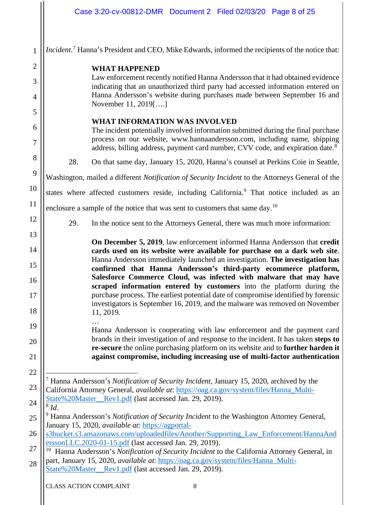<span id="page-7-3"></span><span id="page-7-2"></span><span id="page-7-1"></span><span id="page-7-0"></span>

|                      | Case 3:20-cv-00812-DMR  Document 2  Filed 02/03/20  Page 8 of 25                                                                                                                                                                                                                                                                                                                 |  |  |  |
|----------------------|----------------------------------------------------------------------------------------------------------------------------------------------------------------------------------------------------------------------------------------------------------------------------------------------------------------------------------------------------------------------------------|--|--|--|
| $\mathbf{1}$         | Incident. <sup>7</sup> Hanna's President and CEO, Mike Edwards, informed the recipients of the notice that:                                                                                                                                                                                                                                                                      |  |  |  |
| $\overline{2}$       | <b>WHAT HAPPENED</b>                                                                                                                                                                                                                                                                                                                                                             |  |  |  |
| 3                    | Law enforcement recently notified Hanna Andersson that it had obtained evidence<br>indicating that an unauthorized third party had accessed information entered on                                                                                                                                                                                                               |  |  |  |
| 4                    | Hanna Andersson's website during purchases made between September 16 and<br>November 11, 2019[]                                                                                                                                                                                                                                                                                  |  |  |  |
| 5                    | <b>WHAT INFORMATION WAS INVOLVED</b>                                                                                                                                                                                                                                                                                                                                             |  |  |  |
| 6<br>7               | The incident potentially involved information submitted during the final purchase<br>process on our website, www.hannaandersson.com, including name, shipping                                                                                                                                                                                                                    |  |  |  |
| 8                    | address, billing address, payment card number, CVV code, and expiration date. <sup>8</sup>                                                                                                                                                                                                                                                                                       |  |  |  |
|                      | 28.<br>On that same day, January 15, 2020, Hanna's counsel at Perkins Coie in Seattle,                                                                                                                                                                                                                                                                                           |  |  |  |
| 9                    | Washington, mailed a different Notification of Security Incident to the Attorneys General of the                                                                                                                                                                                                                                                                                 |  |  |  |
| 10                   | states where affected customers reside, including California. <sup>9</sup> That notice included as an                                                                                                                                                                                                                                                                            |  |  |  |
| 11                   | enclosure a sample of the notice that was sent to customers that same day. <sup>10</sup>                                                                                                                                                                                                                                                                                         |  |  |  |
| 12                   | 29.<br>In the notice sent to the Attorneys General, there was much more information:                                                                                                                                                                                                                                                                                             |  |  |  |
| 13<br>14<br>15<br>16 | On December 5, 2019, law enforcement informed Hanna Andersson that credit<br>cards used on its website were available for purchase on a dark web site.<br>Hanna Andersson immediately launched an investigation. The investigation has<br>confirmed that Hanna Andersson's third-party ecommerce platform,<br>Salesforce Commerce Cloud, was infected with malware that may have |  |  |  |
| 17<br>18             | scraped information entered by customers into the platform during the<br>purchase process. The earliest potential date of compromise identified by forensic<br>investigators is September 16, 2019, and the malware was removed on November<br>11, 2019.                                                                                                                         |  |  |  |
| 19                   | Hanna Andersson is cooperating with law enforcement and the payment card                                                                                                                                                                                                                                                                                                         |  |  |  |
| 20                   | brands in their investigation of and response to the incident. It has taken steps to<br>re-secure the online purchasing platform on its website and to further harden it                                                                                                                                                                                                         |  |  |  |
| 21                   | against compromise, including increasing use of multi-factor authentication                                                                                                                                                                                                                                                                                                      |  |  |  |
| 22                   |                                                                                                                                                                                                                                                                                                                                                                                  |  |  |  |
| 23                   | <sup>7</sup> Hanna Andersson's Notification of Security Incident, January 15, 2020, archived by the<br>California Attorney General, available at: https://oag.ca.gov/system/files/Hanna Multi-                                                                                                                                                                                   |  |  |  |
| 24                   | State%20Master_Rev1.pdf (last accessed Jan. 29, 2019).<br>$8$ Id.                                                                                                                                                                                                                                                                                                                |  |  |  |
| 25                   | Hanna Andersson's Notification of Security Incident to the Washington Attorney General,                                                                                                                                                                                                                                                                                          |  |  |  |
| 26                   | January 15, 2020, available at: https://agportal-<br>s3bucket.s3.amazonaws.com/uploadedfiles/Another/Supporting_Law_Enforcement/HannaAnd                                                                                                                                                                                                                                         |  |  |  |
| 27                   | erssonLLC.2020-01-15.pdf (last accessed Jan. 29, 2019).<br>10<br>Hanna Andersson's Notification of Security Incident to the California Attorney General, in                                                                                                                                                                                                                      |  |  |  |
| 28                   | part, January 15, 2020, <i>available at:</i> https://oag.ca.gov/system/files/Hanna_Multi-<br>State%20Master_Rev1.pdf (last accessed Jan. 29, 2019).                                                                                                                                                                                                                              |  |  |  |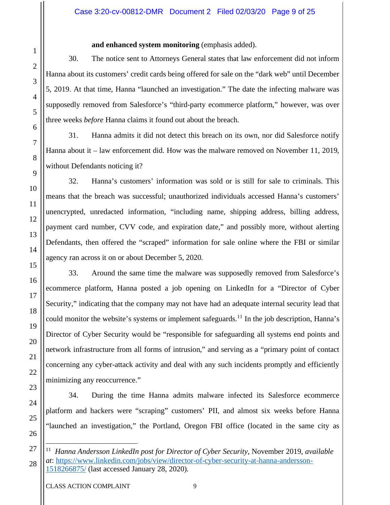#### **and enhanced system monitoring** (emphasis added).

30. The notice sent to Attorneys General states that law enforcement did not inform Hanna about its customers' credit cards being offered for sale on the "dark web" until December 5, 2019. At that time, Hanna "launched an investigation." The date the infecting malware was supposedly removed from Salesforce's "third-party ecommerce platform," however, was over three weeks *before* Hanna claims it found out about the breach.

31. Hanna admits it did not detect this breach on its own, nor did Salesforce notify Hanna about it – law enforcement did. How was the malware removed on November 11, 2019, without Defendants noticing it?

32. Hanna's customers' information was sold or is still for sale to criminals. This means that the breach was successful; unauthorized individuals accessed Hanna's customers' unencrypted, unredacted information, "including name, shipping address, billing address, payment card number, CVV code, and expiration date," and possibly more, without alerting Defendants, then offered the "scraped" information for sale online where the FBI or similar agency ran across it on or about December 5, 2020.

33. Around the same time the malware was supposedly removed from Salesforce's ecommerce platform, Hanna posted a job opening on LinkedIn for a "Director of Cyber Security," indicating that the company may not have had an adequate internal security lead that could monitor the website's systems or implement safeguards.<sup>[11](#page-8-0)</sup> In the job description, Hanna's Director of Cyber Security would be "responsible for safeguarding all systems end points and network infrastructure from all forms of intrusion," and serving as a "primary point of contact concerning any cyber-attack activity and deal with any such incidents promptly and efficiently minimizing any reoccurrence."

34. During the time Hanna admits malware infected its Salesforce ecommerce platform and hackers were "scraping" customers' PII, and almost six weeks before Hanna "launched an investigation," the Portland, Oregon FBI office (located in the same city as

<span id="page-8-0"></span><sup>11</sup> *Hanna Andersson LinkedIn post for Director of Cyber Security*, November 2019, *available at*: [https://www.linkedin.com/jobs/view/director-of-cyber-security-at-hanna-andersson-](https://www.linkedin.com/jobs/view/director-of-cyber-security-at-hanna-andersson-1518266875/)[1518266875/](https://www.linkedin.com/jobs/view/director-of-cyber-security-at-hanna-andersson-1518266875/) (last accessed January 28, 2020).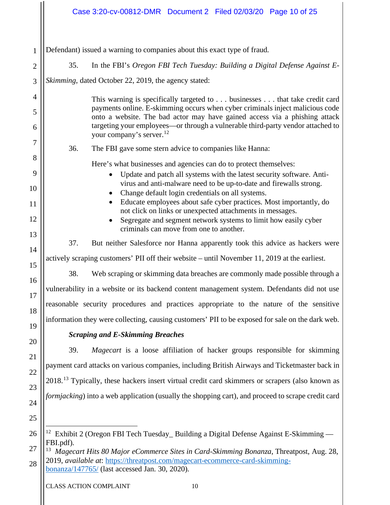|                | Case 3:20-cv-00812-DMR  Document 2  Filed 02/03/20  Page 10 of 25                                                                                                                                |  |  |  |  |  |
|----------------|--------------------------------------------------------------------------------------------------------------------------------------------------------------------------------------------------|--|--|--|--|--|
| 1              | Defendant) issued a warning to companies about this exact type of fraud.                                                                                                                         |  |  |  |  |  |
| $\overline{2}$ | 35.<br>In the FBI's Oregon FBI Tech Tuesday: Building a Digital Defense Against E-                                                                                                               |  |  |  |  |  |
| 3              | Skimming, dated October 22, 2019, the agency stated:                                                                                                                                             |  |  |  |  |  |
| $\overline{4}$ | This warning is specifically targeted to businesses that take credit card                                                                                                                        |  |  |  |  |  |
| 5              | payments online. E-skimming occurs when cyber criminals inject malicious code<br>onto a website. The bad actor may have gained access via a phishing attack                                      |  |  |  |  |  |
| 6              | targeting your employees—or through a vulnerable third-party vendor attached to<br>your company's server. <sup>12</sup>                                                                          |  |  |  |  |  |
| 7              | 36.<br>The FBI gave some stern advice to companies like Hanna:                                                                                                                                   |  |  |  |  |  |
| 8              | Here's what businesses and agencies can do to protect themselves:                                                                                                                                |  |  |  |  |  |
| 9              | Update and patch all systems with the latest security software. Anti-                                                                                                                            |  |  |  |  |  |
| 10             | virus and anti-malware need to be up-to-date and firewalls strong.<br>Change default login credentials on all systems.                                                                           |  |  |  |  |  |
| 11<br>12       | Educate employees about safe cyber practices. Most importantly, do<br>not click on links or unexpected attachments in messages.                                                                  |  |  |  |  |  |
| 13             | Segregate and segment network systems to limit how easily cyber<br>$\bullet$<br>criminals can move from one to another.                                                                          |  |  |  |  |  |
| 14             | 37.<br>But neither Salesforce nor Hanna apparently took this advice as hackers were                                                                                                              |  |  |  |  |  |
| 15             | actively scraping customers' PII off their website – until November 11, 2019 at the earliest.                                                                                                    |  |  |  |  |  |
| 16             | Web scraping or skimming data breaches are commonly made possible through a<br>38.                                                                                                               |  |  |  |  |  |
| 17             | vulnerability in a website or its backend content management system. Defendants did not use                                                                                                      |  |  |  |  |  |
| 18             | reasonable security procedures and practices appropriate to the nature of the sensitive                                                                                                          |  |  |  |  |  |
| 19             | information they were collecting, causing customers' PII to be exposed for sale on the dark web.                                                                                                 |  |  |  |  |  |
| 20             | <b>Scraping and E-Skimming Breaches</b>                                                                                                                                                          |  |  |  |  |  |
| 21             | Magecart is a loose affiliation of hacker groups responsible for skimming<br>39.                                                                                                                 |  |  |  |  |  |
| 22             | payment card attacks on various companies, including British Airways and Ticketmaster back in                                                                                                    |  |  |  |  |  |
| 23             | 2018. <sup>13</sup> Typically, these hackers insert virtual credit card skimmers or scrapers (also known as                                                                                      |  |  |  |  |  |
| 24             | <i>formjacking</i> ) into a web application (usually the shopping cart), and proceed to scrape credit card                                                                                       |  |  |  |  |  |
| 25             |                                                                                                                                                                                                  |  |  |  |  |  |
| 26             | Exhibit 2 (Oregon FBI Tech Tuesday_ Building a Digital Defense Against E-Skimming -<br>12                                                                                                        |  |  |  |  |  |
| 27             | FBI.pdf).<br><sup>13</sup> Magecart Hits 80 Major eCommerce Sites in Card-Skimming Bonanza, Threatpost, Aug. 28,<br>2019, available at: https://threatpost.com/magecart-ecommerce-card-skimming- |  |  |  |  |  |
| 28             |                                                                                                                                                                                                  |  |  |  |  |  |

<span id="page-9-1"></span><span id="page-9-0"></span>[bonanza/147765/](https://threatpost.com/magecart-ecommerce-card-skimming-bonanza/147765/) (last accessed Jan. 30, 2020).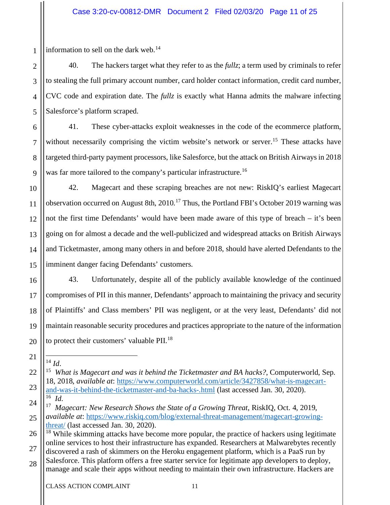information to sell on the dark web. $14$ 

1

2

3

4

5

6

7

8

9

10

11

12

13

14

15

16

17

18

19

20

<span id="page-10-0"></span>21

<span id="page-10-1"></span>22

23

40. The hackers target what they refer to as the *fullz*; a term used by criminals to refer to stealing the full primary account number, card holder contact information, credit card number, CVC code and expiration date. The *fullz* is exactly what Hanna admits the malware infecting Salesforce's platform scraped.

41. These cyber-attacks exploit weaknesses in the code of the ecommerce platform, without necessarily comprising the victim website's network or server.<sup>[15](#page-10-1)</sup> These attacks have targeted third-party payment processors, like Salesforce, but the attack on British Airways in 2018 was far more tailored to the company's particular infrastructure.<sup>[16](#page-10-2)</sup>

42. Magecart and these scraping breaches are not new: RiskIQ's earliest Magecart observation occurred on August 8th,  $2010$ <sup>[17](#page-10-3)</sup> Thus, the Portland FBI's October 2019 warning was not the first time Defendants' would have been made aware of this type of breach – it's been going on for almost a decade and the well-publicized and widespread attacks on British Airways and Ticketmaster, among many others in and before 2018, should have alerted Defendants to the imminent danger facing Defendants' customers.

43. Unfortunately, despite all of the publicly available knowledge of the continued compromises of PII in this manner, Defendants' approach to maintaining the privacy and security of Plaintiffs' and Class members' PII was negligent, or at the very least, Defendants' did not maintain reasonable security procedures and practices appropriate to the nature of the information to protect their customers' valuable  $\rm{PII.}^{18}$  $\rm{PII.}^{18}$  $\rm{PII.}^{18}$ 

<sup>14</sup> *Id*.

<sup>15</sup> *What is Magecart and was it behind the Ticketmaster and BA hacks?*, Computerworld, Sep. 18, 2018, *available at*: [https://www.computerworld.com/article/3427858/what-is-magecart](https://www.computerworld.com/article/3427858/what-is-magecart-and-was-it-behind-the-ticketmaster-and-ba-hacks-.html)[and-was-it-behind-the-ticketmaster-and-ba-hacks-.html](https://www.computerworld.com/article/3427858/what-is-magecart-and-was-it-behind-the-ticketmaster-and-ba-hacks-.html) (last accessed Jan. 30, 2020). 16 *Id*.

<span id="page-10-3"></span><span id="page-10-2"></span><sup>24</sup> 25 17 *Magecart: New Research Shows the State of a Growing Threat*, RiskIQ, Oct. 4, 2019, *available at*: [https://www.riskiq.com/blog/external-threat-management/magecart-growing](https://www.riskiq.com/blog/external-threat-management/magecart-growing-threat/)[threat/](https://www.riskiq.com/blog/external-threat-management/magecart-growing-threat/) (last accessed Jan. 30, 2020).

<span id="page-10-4"></span><sup>26</sup> 27  $18$  While skimming attacks have become more popular, the practice of hackers using legitimate online services to host their infrastructure has expanded. Researchers at Malwarebytes recently

discovered a rash of skimmers on the Heroku engagement platform, which is a PaaS run by Salesforce. This platform offers a free starter service for legitimate app developers to deploy,

<sup>28</sup> manage and scale their apps without needing to maintain their own infrastructure. Hackers are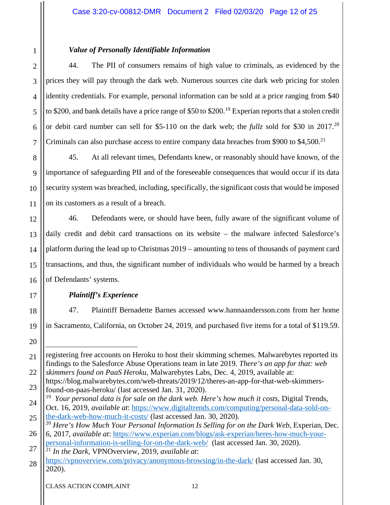# *Value of Personally Identifiable Information*

44. The PII of consumers remains of high value to criminals, as evidenced by the prices they will pay through the dark web. Numerous sources cite dark web pricing for stolen identity credentials. For example, personal information can be sold at a price ranging from \$40 to \$200, and bank details have a price range of \$50 to \$200.<sup>[19](#page-11-0)</sup> Experian reports that a stolen credit or debit card number can sell for \$5-110 on the dark web; the *fullz* sold for \$30 in 2017. [20](#page-11-1) Criminals can also purchase access to entire company data breaches from \$900 to \$4,500.<sup>[21](#page-11-2)</sup>

45. At all relevant times, Defendants knew, or reasonably should have known, of the importance of safeguarding PII and of the foreseeable consequences that would occur if its data security system was breached, including, specifically, the significant costs that would be imposed on its customers as a result of a breach.

46. Defendants were, or should have been, fully aware of the significant volume of daily credit and debit card transactions on its website – the malware infected Salesforce's platform during the lead up to Christmas 2019 – amounting to tens of thousands of payment card transactions, and thus, the significant number of individuals who would be harmed by a breach of Defendants' systems.

# 16 17

18

19

1

2

3

4

5

6

7

8

9

10

11

12

13

14

15

# *Plaintiff's Experience*

47. Plaintiff Bernadette Barnes accessed www.hannaandersson.com from her home in Sacramento, California, on October 24, 2019, and purchased five items for a total of \$119.59.

registering free accounts on Heroku to host their skimming schemes. Malwarebytes reported its

<sup>20</sup> 21 22

findings to the Salesforce Abuse Operations team in late 2019. *There's an app for that: web skimmers found on PaaS Heroku*, Malwarebytes Labs, Dec. 4, 2019, available at:

<sup>23</sup> https://blog.malwarebytes.com/web-threats/2019/12/theres-an-app-for-that-web-skimmersfound-on-paas-heroku/ (last accessed Jan. 31, 2020).

<span id="page-11-0"></span><sup>24</sup> <sup>19</sup> *Your personal data is for sale on the dark web. Here's how much it costs, Digital Trends,* Oct. 16, 2019, *available at*: [https://www.digitaltrends.com/computing/personal-data-sold-on-](https://www.digitaltrends.com/computing/personal-data-sold-on-the-dark-web-how-much-it-costs/)

<span id="page-11-1"></span><sup>25</sup> [the-dark-web-how-much-it-costs/](https://www.digitaltrends.com/computing/personal-data-sold-on-the-dark-web-how-much-it-costs/) (last accessed Jan. 30, 2020). <sup>20</sup> *Here's How Much Your Personal Information Is Selling for on the Dark Web*, Experian, Dec.

<sup>26</sup> 6, 2017, *available at*: [https://www.experian.com/blogs/ask-experian/heres-how-much-your](https://www.experian.com/blogs/ask-experian/heres-how-much-your-personal-information-is-selling-for-on-the-dark-web/)[personal-information-is-selling-for-on-the-dark-web/](https://www.experian.com/blogs/ask-experian/heres-how-much-your-personal-information-is-selling-for-on-the-dark-web/) (last accessed Jan. 30, 2020).

<span id="page-11-2"></span><sup>27</sup> <sup>21</sup> *In the Dark*, VPNOverview, 2019, *available at*:

<sup>28</sup> <https://vpnoverview.com/privacy/anonymous-browsing/in-the-dark/> (last accessed Jan. 30, 2020).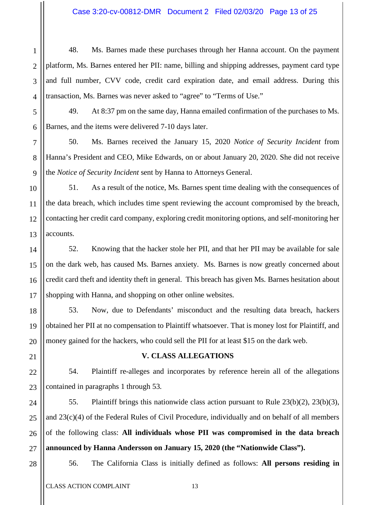#### Case 3:20-cv-00812-DMR Document 2 Filed 02/03/20 Page 13 of 25

48. Ms. Barnes made these purchases through her Hanna account. On the payment platform, Ms. Barnes entered her PII: name, billing and shipping addresses, payment card type and full number, CVV code, credit card expiration date, and email address. During this transaction, Ms. Barnes was never asked to "agree" to "Terms of Use."

49. At 8:37 pm on the same day, Hanna emailed confirmation of the purchases to Ms. Barnes, and the items were delivered 7-10 days later.

50. Ms. Barnes received the January 15, 2020 *Notice of Security Incident* from Hanna's President and CEO, Mike Edwards, on or about January 20, 2020. She did not receive the *Notice of Security Incident* sent by Hanna to Attorneys General.

51. As a result of the notice, Ms. Barnes spent time dealing with the consequences of the data breach, which includes time spent reviewing the account compromised by the breach, contacting her credit card company, exploring credit monitoring options, and self-monitoring her accounts.

52. Knowing that the hacker stole her PII, and that her PII may be available for sale on the dark web, has caused Ms. Barnes anxiety. Ms. Barnes is now greatly concerned about credit card theft and identity theft in general. This breach has given Ms. Barnes hesitation about shopping with Hanna, and shopping on other online websites.

53. Now, due to Defendants' misconduct and the resulting data breach, hackers obtained her PII at no compensation to Plaintiff whatsoever. That is money lost for Plaintiff, and money gained for the hackers, who could sell the PII for at least \$15 on the dark web.

# 21

1

2

3

4

5

6

7

8

9

10

11

12

13

14

15

16

17

18

19

20

22

23

24

25

26

27

#### **V. CLASS ALLEGATIONS**

54. Plaintiff re-alleges and incorporates by reference herein all of the allegations contained in paragraphs 1 through 53.

55. Plaintiff brings this nationwide class action pursuant to Rule 23(b)(2), 23(b)(3), and 23(c)(4) of the Federal Rules of Civil Procedure, individually and on behalf of all members of the following class: **All individuals whose PII was compromised in the data breach announced by Hanna Andersson on January 15, 2020 (the "Nationwide Class").**

28

56. The California Class is initially defined as follows: **All persons residing in**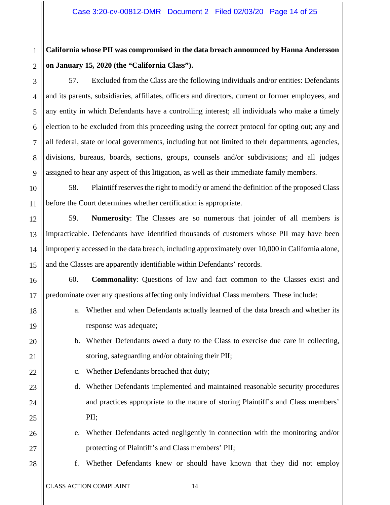#### 1 **California whose PII was compromised in the data breach announced by Hanna Andersson on January 15, 2020 (the "California Class").**

57. Excluded from the Class are the following individuals and/or entities: Defendants and its parents, subsidiaries, affiliates, officers and directors, current or former employees, and any entity in which Defendants have a controlling interest; all individuals who make a timely election to be excluded from this proceeding using the correct protocol for opting out; any and all federal, state or local governments, including but not limited to their departments, agencies, divisions, bureaus, boards, sections, groups, counsels and/or subdivisions; and all judges assigned to hear any aspect of this litigation, as well as their immediate family members.

58. Plaintiff reserves the right to modify or amend the definition of the proposed Class before the Court determines whether certification is appropriate.

59. **Numerosity**: The Classes are so numerous that joinder of all members is impracticable. Defendants have identified thousands of customers whose PII may have been improperly accessed in the data breach, including approximately over 10,000 in California alone, and the Classes are apparently identifiable within Defendants' records.

60. **Commonality**: Questions of law and fact common to the Classes exist and predominate over any questions affecting only individual Class members. These include:

- a. Whether and when Defendants actually learned of the data breach and whether its response was adequate;
- b. Whether Defendants owed a duty to the Class to exercise due care in collecting, storing, safeguarding and/or obtaining their PII;
- c. Whether Defendants breached that duty;
- d. Whether Defendants implemented and maintained reasonable security procedures and practices appropriate to the nature of storing Plaintiff's and Class members' PII;
- e. Whether Defendants acted negligently in connection with the monitoring and/or protecting of Plaintiff's and Class members' PII;

f. Whether Defendants knew or should have known that they did not employ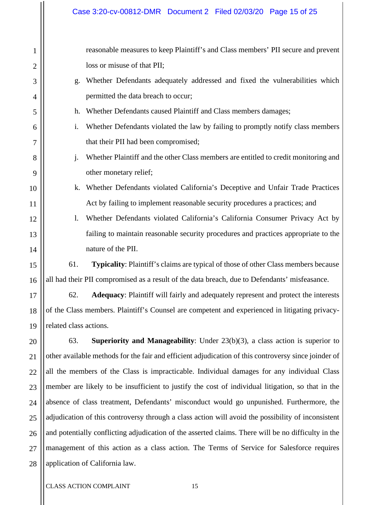1 2 3 4 5 6 7 8 9 10 11 12 13 14 15 16 17 18 19 20 21 22 23 24 25 reasonable measures to keep Plaintiff's and Class members' PII secure and prevent loss or misuse of that PII; g. Whether Defendants adequately addressed and fixed the vulnerabilities which permitted the data breach to occur; h. Whether Defendants caused Plaintiff and Class members damages; i. Whether Defendants violated the law by failing to promptly notify class members that their PII had been compromised; j. Whether Plaintiff and the other Class members are entitled to credit monitoring and other monetary relief; k. Whether Defendants violated California's Deceptive and Unfair Trade Practices Act by failing to implement reasonable security procedures a practices; and l. Whether Defendants violated California's California Consumer Privacy Act by failing to maintain reasonable security procedures and practices appropriate to the nature of the PII. 61. **Typicality**: Plaintiff's claims are typical of those of other Class members because all had their PII compromised as a result of the data breach, due to Defendants' misfeasance. 62. **Adequacy**: Plaintiff will fairly and adequately represent and protect the interests of the Class members. Plaintiff's Counsel are competent and experienced in litigating privacyrelated class actions. 63. **Superiority and Manageability**: Under 23(b)(3), a class action is superior to other available methods for the fair and efficient adjudication of this controversy since joinder of all the members of the Class is impracticable. Individual damages for any individual Class member are likely to be insufficient to justify the cost of individual litigation, so that in the absence of class treatment, Defendants' misconduct would go unpunished. Furthermore, the adjudication of this controversy through a class action will avoid the possibility of inconsistent

26 27 28 and potentially conflicting adjudication of the asserted claims. There will be no difficulty in the management of this action as a class action. The Terms of Service for Salesforce requires application of California law.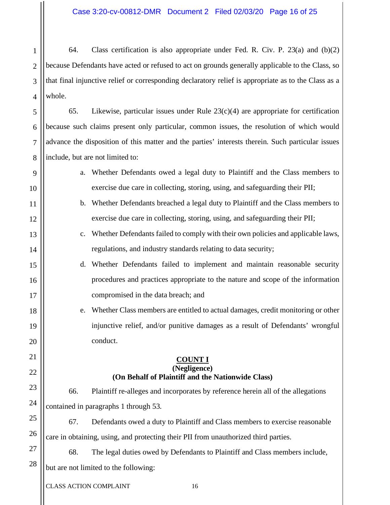2 3 4 64. Class certification is also appropriate under Fed. R. Civ. P.  $23(a)$  and (b)(2) because Defendants have acted or refused to act on grounds generally applicable to the Class, so that final injunctive relief or corresponding declaratory relief is appropriate as to the Class as a whole.

65. Likewise, particular issues under Rule 23(c)(4) are appropriate for certification because such claims present only particular, common issues, the resolution of which would advance the disposition of this matter and the parties' interests therein. Such particular issues include, but are not limited to:

- a. Whether Defendants owed a legal duty to Plaintiff and the Class members to exercise due care in collecting, storing, using, and safeguarding their PII;
- b. Whether Defendants breached a legal duty to Plaintiff and the Class members to exercise due care in collecting, storing, using, and safeguarding their PII;
- c. Whether Defendants failed to comply with their own policies and applicable laws, regulations, and industry standards relating to data security;
- d. Whether Defendants failed to implement and maintain reasonable security procedures and practices appropriate to the nature and scope of the information compromised in the data breach; and
- e. Whether Class members are entitled to actual damages, credit monitoring or other injunctive relief, and/or punitive damages as a result of Defendants' wrongful conduct.

# **COUNT I (Negligence) (On Behalf of Plaintiff and the Nationwide Class)**

66. Plaintiff re-alleges and incorporates by reference herein all of the allegations contained in paragraphs 1 through 53.

67. Defendants owed a duty to Plaintiff and Class members to exercise reasonable care in obtaining, using, and protecting their PII from unauthorized third parties.

27 28 68. The legal duties owed by Defendants to Plaintiff and Class members include, but are not limited to the following:

1

5

6

7

8

9

10

11

12

13

14

15

16

17

18

19

20

21

22

23

24

25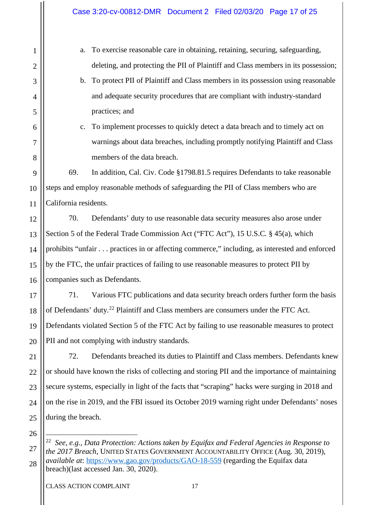a. To exercise reasonable care in obtaining, retaining, securing, safeguarding, deleting, and protecting the PII of Plaintiff and Class members in its possession;

b. To protect PII of Plaintiff and Class members in its possession using reasonable and adequate security procedures that are compliant with industry-standard practices; and

c. To implement processes to quickly detect a data breach and to timely act on warnings about data breaches, including promptly notifying Plaintiff and Class members of the data breach.

69. In addition, Cal. Civ. Code §1798.81.5 requires Defendants to take reasonable steps and employ reasonable methods of safeguarding the PII of Class members who are California residents.

70. Defendants' duty to use reasonable data security measures also arose under Section 5 of the Federal Trade Commission Act ("FTC Act"), 15 U.S.C. § 45(a), which prohibits "unfair . . . practices in or affecting commerce," including, as interested and enforced by the FTC, the unfair practices of failing to use reasonable measures to protect PII by companies such as Defendants.

17 18 19 20 71. Various FTC publications and data security breach orders further form the basis of Defendants' duty.<sup>[22](#page-16-0)</sup> Plaintiff and Class members are consumers under the FTC Act. Defendants violated Section 5 of the FTC Act by failing to use reasonable measures to protect PII and not complying with industry standards.

72. Defendants breached its duties to Plaintiff and Class members. Defendants knew or should have known the risks of collecting and storing PII and the importance of maintaining secure systems, especially in light of the facts that "scraping" hacks were surging in 2018 and on the rise in 2019, and the FBI issued its October 2019 warning right under Defendants' noses during the breach.

25 26 27

21

22

23

24

1

2

3

4

5

6

7

8

9

10

11

12

13

14

15

16

<span id="page-16-0"></span><sup>28</sup> 22 *See, e.g., Data Protection: Actions taken by Equifax and Federal Agencies in Response to the 2017 Breach*, UNITED STATES GOVERNMENT ACCOUNTABILITY OFFICE (Aug. 30, 2019), *available at*: <https://www.gao.gov/products/GAO-18-559> (regarding the Equifax data breach)(last accessed Jan. 30, 2020).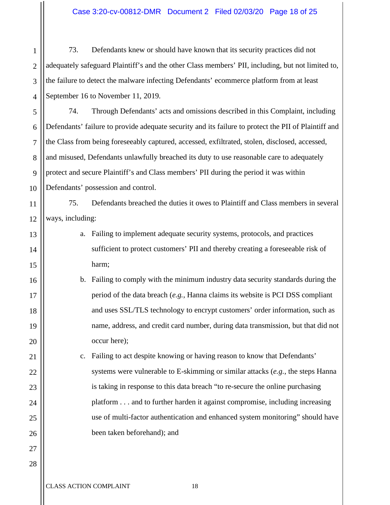Case 3:20-cv-00812-DMR Document 2 Filed 02/03/20 Page 18 of 25

73. Defendants knew or should have known that its security practices did not adequately safeguard Plaintiff's and the other Class members' PII, including, but not limited to, the failure to detect the malware infecting Defendants' ecommerce platform from at least September 16 to November 11, 2019.

5 6 7 8 9 10 74. Through Defendants' acts and omissions described in this Complaint, including Defendants' failure to provide adequate security and its failure to protect the PII of Plaintiff and the Class from being foreseeably captured, accessed, exfiltrated, stolen, disclosed, accessed, and misused, Defendants unlawfully breached its duty to use reasonable care to adequately protect and secure Plaintiff's and Class members' PII during the period it was within Defendants' possession and control.

11 12 75. Defendants breached the duties it owes to Plaintiff and Class members in several ways, including:

- a. Failing to implement adequate security systems, protocols, and practices sufficient to protect customers' PII and thereby creating a foreseeable risk of harm;
- b. Failing to comply with the minimum industry data security standards during the period of the data breach (*e.g.,* Hanna claims its website is PCI DSS compliant and uses SSL/TLS technology to encrypt customers' order information, such as name, address, and credit card number, during data transmission, but that did not occur here);

c. Failing to act despite knowing or having reason to know that Defendants' systems were vulnerable to E-skimming or similar attacks (*e.g.*, the steps Hanna is taking in response to this data breach "to re-secure the online purchasing platform . . . and to further harden it against compromise, including increasing use of multi-factor authentication and enhanced system monitoring" should have been taken beforehand); and

28

1

2

3

4

13

14

15

16

17

18

19

20

21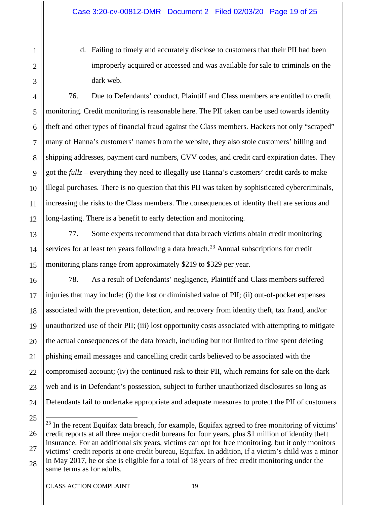d. Failing to timely and accurately disclose to customers that their PII had been improperly acquired or accessed and was available for sale to criminals on the dark web.

76. Due to Defendants' conduct, Plaintiff and Class members are entitled to credit monitoring. Credit monitoring is reasonable here. The PII taken can be used towards identity theft and other types of financial fraud against the Class members. Hackers not only "scraped" many of Hanna's customers' names from the website, they also stole customers' billing and shipping addresses, payment card numbers, CVV codes, and credit card expiration dates. They got the *fullz* – everything they need to illegally use Hanna's customers' credit cards to make illegal purchases. There is no question that this PII was taken by sophisticated cybercriminals, increasing the risks to the Class members. The consequences of identity theft are serious and long-lasting. There is a benefit to early detection and monitoring.

77. Some experts recommend that data breach victims obtain credit monitoring services for at least ten years following a data breach.<sup>[23](#page-18-0)</sup> Annual subscriptions for credit monitoring plans range from approximately \$219 to \$329 per year.

78. As a result of Defendants' negligence, Plaintiff and Class members suffered injuries that may include: (i) the lost or diminished value of PII; (ii) out-of-pocket expenses associated with the prevention, detection, and recovery from identity theft, tax fraud, and/or unauthorized use of their PII; (iii) lost opportunity costs associated with attempting to mitigate the actual consequences of the data breach, including but not limited to time spent deleting phishing email messages and cancelling credit cards believed to be associated with the compromised account; (iv) the continued risk to their PII, which remains for sale on the dark web and is in Defendant's possession, subject to further unauthorized disclosures so long as Defendants fail to undertake appropriate and adequate measures to protect the PII of customers

1

2

3

4

5

6

7

8

9

10

11

12

13

14

15

16

17

18

19

20

21

<sup>23</sup> 24 25 26

<span id="page-18-0"></span><sup>27</sup> 28  $^{23}$  In the recent Equifax data breach, for example, Equifax agreed to free monitoring of victims' credit reports at all three major credit bureaus for four years, plus \$1 million of identity theft insurance. For an additional six years, victims can opt for free monitoring, but it only monitors victims' credit reports at one credit bureau, Equifax. In addition, if a victim's child was a minor in May 2017, he or she is eligible for a total of 18 years of free credit monitoring under the same terms as for adults.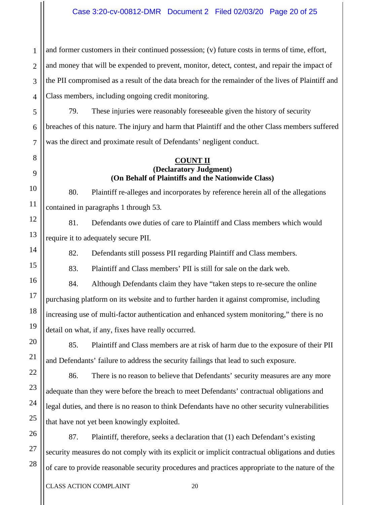1 2 3 4 and former customers in their continued possession; (v) future costs in terms of time, effort, and money that will be expended to prevent, monitor, detect, contest, and repair the impact of the PII compromised as a result of the data breach for the remainder of the lives of Plaintiff and Class members, including ongoing credit monitoring.

5 6 7 79. These injuries were reasonably foreseeable given the history of security breaches of this nature. The injury and harm that Plaintiff and the other Class members suffered was the direct and proximate result of Defendants' negligent conduct.

#### **COUNT II (Declaratory Judgment) (On Behalf of Plaintiffs and the Nationwide Class)**

80. Plaintiff re-alleges and incorporates by reference herein all of the allegations contained in paragraphs 1 through 53.

81. Defendants owe duties of care to Plaintiff and Class members which would require it to adequately secure PII.

82. Defendants still possess PII regarding Plaintiff and Class members.

83. Plaintiff and Class members' PII is still for sale on the dark web.

84. Although Defendants claim they have "taken steps to re-secure the online purchasing platform on its website and to further harden it against compromise, including increasing use of multi-factor authentication and enhanced system monitoring," there is no detail on what, if any, fixes have really occurred.

85. Plaintiff and Class members are at risk of harm due to the exposure of their PII and Defendants' failure to address the security failings that lead to such exposure.

86. There is no reason to believe that Defendants' security measures are any more adequate than they were before the breach to meet Defendants' contractual obligations and legal duties, and there is no reason to think Defendants have no other security vulnerabilities that have not yet been knowingly exploited.

87. Plaintiff, therefore, seeks a declaration that (1) each Defendant's existing security measures do not comply with its explicit or implicit contractual obligations and duties of care to provide reasonable security procedures and practices appropriate to the nature of the

8

9

10

11

12

13

14

15

16

17

18

19

20

21

22

23

24

25

26

27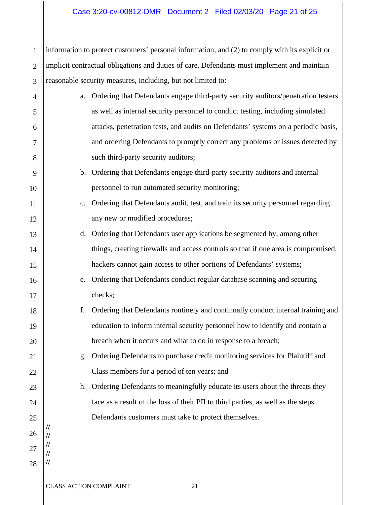# Case 3:20-cv-00812-DMR Document 2 Filed 02/03/20 Page 21 of 25

1 2 3 information to protect customers' personal information, and (2) to comply with its explicit or implicit contractual obligations and duties of care, Defendants must implement and maintain reasonable security measures, including, but not limited to:

- a. Ordering that Defendants engage third-party security auditors/penetration testers as well as internal security personnel to conduct testing, including simulated attacks, penetration tests, and audits on Defendants' systems on a periodic basis, and ordering Defendants to promptly correct any problems or issues detected by such third-party security auditors;
	- b. Ordering that Defendants engage third-party security auditors and internal personnel to run automated security monitoring;
	- c. Ordering that Defendants audit, test, and train its security personnel regarding any new or modified procedures;
	- d. Ordering that Defendants user applications be segmented by, among other things, creating firewalls and access controls so that if one area is compromised, hackers cannot gain access to other portions of Defendants' systems;
	- e. Ordering that Defendants conduct regular database scanning and securing checks;
	- f. Ordering that Defendants routinely and continually conduct internal training and education to inform internal security personnel how to identify and contain a breach when it occurs and what to do in response to a breach;
		- g. Ordering Defendants to purchase credit monitoring services for Plaintiff and Class members for a period of ten years; and
		- h. Ordering Defendants to meaningfully educate its users about the threats they face as a result of the loss of their PII to third parties, as well as the steps Defendants customers must take to protect themselves.

4

5

6

7

8

9

10

11

12

13

14

15

16

17

18

19

20

21

22

23

24

25

26

**// // // // //**

27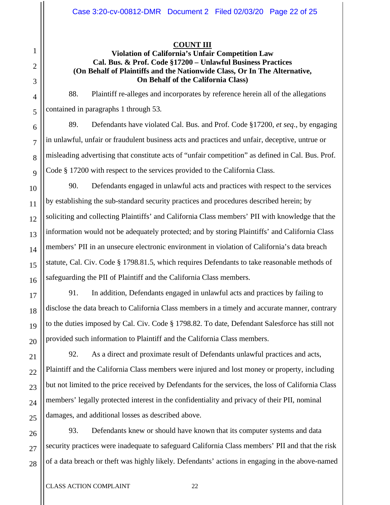# **COUNT III**

# **Violation of California's Unfair Competition Law Cal. Bus. & Prof. Code §17200 – Unlawful Business Practices (On Behalf of Plaintiffs and the Nationwide Class, Or In The Alternative, On Behalf of the California Class)**

88. Plaintiff re-alleges and incorporates by reference herein all of the allegations contained in paragraphs 1 through 53.

89. Defendants have violated Cal. Bus. and Prof. Code §17200, *et seq*., by engaging in unlawful, unfair or fraudulent business acts and practices and unfair, deceptive, untrue or misleading advertising that constitute acts of "unfair competition" as defined in Cal. Bus. Prof. Code § 17200 with respect to the services provided to the California Class.

90. Defendants engaged in unlawful acts and practices with respect to the services by establishing the sub-standard security practices and procedures described herein; by soliciting and collecting Plaintiffs' and California Class members' PII with knowledge that the information would not be adequately protected; and by storing Plaintiffs' and California Class members' PII in an unsecure electronic environment in violation of California's data breach statute, Cal. Civ. Code § 1798.81.5, which requires Defendants to take reasonable methods of safeguarding the PII of Plaintiff and the California Class members.

91. In addition, Defendants engaged in unlawful acts and practices by failing to disclose the data breach to California Class members in a timely and accurate manner, contrary to the duties imposed by Cal. Civ. Code § 1798.82. To date, Defendant Salesforce has still not provided such information to Plaintiff and the California Class members.

92. As a direct and proximate result of Defendants unlawful practices and acts, Plaintiff and the California Class members were injured and lost money or property, including but not limited to the price received by Defendants for the services, the loss of California Class members' legally protected interest in the confidentiality and privacy of their PII, nominal damages, and additional losses as described above.

93. Defendants knew or should have known that its computer systems and data security practices were inadequate to safeguard California Class members' PII and that the risk of a data breach or theft was highly likely. Defendants' actions in engaging in the above-named

1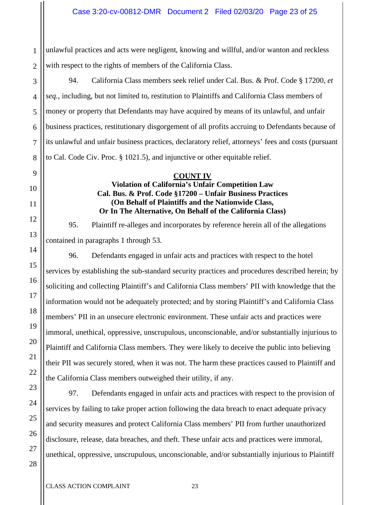1 2 unlawful practices and acts were negligent, knowing and willful, and/or wanton and reckless with respect to the rights of members of the California Class.

94. California Class members seek relief under Cal. Bus. & Prof. Code § 17200, *et seq.*, including, but not limited to, restitution to Plaintiffs and California Class members of money or property that Defendants may have acquired by means of its unlawful, and unfair business practices, restitutionary disgorgement of all profits accruing to Defendants because of its unlawful and unfair business practices, declaratory relief, attorneys' fees and costs (pursuant to Cal. Code Civ. Proc. § 1021.5), and injunctive or other equitable relief.

# **COUNT IV Violation of California's Unfair Competition Law Cal. Bus. & Prof. Code §17200 – Unfair Business Practices (On Behalf of Plaintiffs and the Nationwide Class, Or In The Alternative, On Behalf of the California Class)**

95. Plaintiff re-alleges and incorporates by reference herein all of the allegations contained in paragraphs 1 through 53.

96. Defendants engaged in unfair acts and practices with respect to the hotel services by establishing the sub-standard security practices and procedures described herein; by soliciting and collecting Plaintiff's and California Class members' PII with knowledge that the information would not be adequately protected; and by storing Plaintiff's and California Class members' PII in an unsecure electronic environment. These unfair acts and practices were immoral, unethical, oppressive, unscrupulous, unconscionable, and/or substantially injurious to Plaintiff and California Class members. They were likely to deceive the public into believing their PII was securely stored, when it was not. The harm these practices caused to Plaintiff and the California Class members outweighed their utility, if any.

97. Defendants engaged in unfair acts and practices with respect to the provision of services by failing to take proper action following the data breach to enact adequate privacy and security measures and protect California Class members' PII from further unauthorized disclosure, release, data breaches, and theft. These unfair acts and practices were immoral, unethical, oppressive, unscrupulous, unconscionable, and/or substantially injurious to Plaintiff

3

4

5

6

7

8

9

10

11

12

13

14

15

16

17

18

19

20

21

22

23

24

25

26

27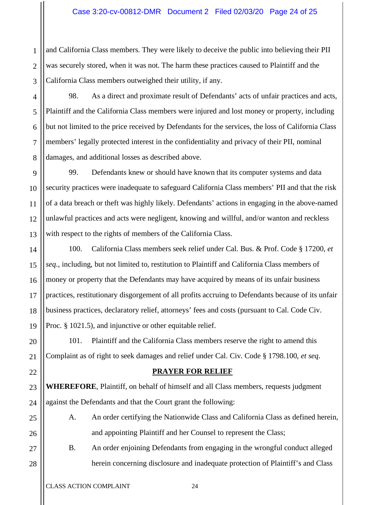# Case 3:20-cv-00812-DMR Document 2 Filed 02/03/20 Page 24 of 25

2 3 and California Class members. They were likely to deceive the public into believing their PII was securely stored, when it was not. The harm these practices caused to Plaintiff and the California Class members outweighed their utility, if any.

98. As a direct and proximate result of Defendants' acts of unfair practices and acts, Plaintiff and the California Class members were injured and lost money or property, including but not limited to the price received by Defendants for the services, the loss of California Class members' legally protected interest in the confidentiality and privacy of their PII, nominal damages, and additional losses as described above.

99. Defendants knew or should have known that its computer systems and data security practices were inadequate to safeguard California Class members' PII and that the risk of a data breach or theft was highly likely. Defendants' actions in engaging in the above-named unlawful practices and acts were negligent, knowing and willful, and/or wanton and reckless with respect to the rights of members of the California Class.

100. California Class members seek relief under Cal. Bus. & Prof. Code § 17200, *et seq*., including, but not limited to, restitution to Plaintiff and California Class members of money or property that the Defendants may have acquired by means of its unfair business practices, restitutionary disgorgement of all profits accruing to Defendants because of its unfair business practices, declaratory relief, attorneys' fees and costs (pursuant to Cal. Code Civ. Proc. § 1021.5), and injunctive or other equitable relief.

101. Plaintiff and the California Class members reserve the right to amend this Complaint as of right to seek damages and relief under Cal. Civ. Code § 1798.100, *et seq*.

#### **PRAYER FOR RELIEF**

**WHEREFORE**, Plaintiff, on behalf of himself and all Class members, requests judgment against the Defendants and that the Court grant the following:

A. An order certifying the Nationwide Class and California Class as defined herein, and appointing Plaintiff and her Counsel to represent the Class;

B. An order enjoining Defendants from engaging in the wrongful conduct alleged herein concerning disclosure and inadequate protection of Plaintiff's and Class